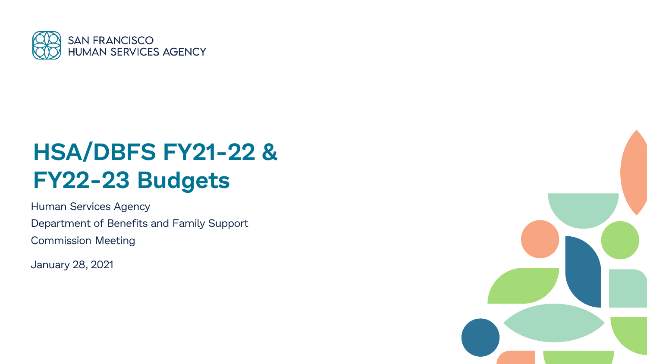

# **HSA/DBFS FY21-22 & FY22-23 Budgets**

Human Services Agency Department of Benefits and Family Support Commission Meeting

January 28, 2021

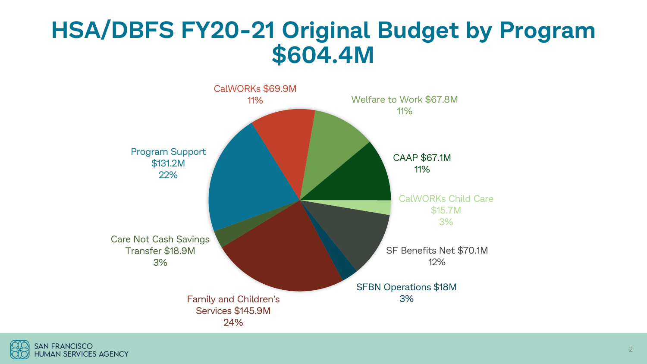### **HSA/DBFS FY20-21 Original Budget by Program \$604.4M**



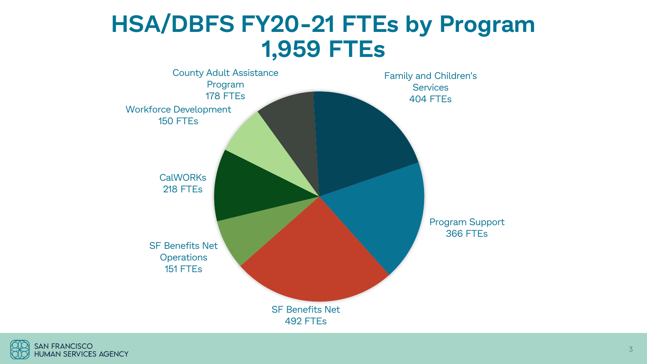### **HSA/DBFS FY20-21 FTEs by Program 1,959 FTEs**



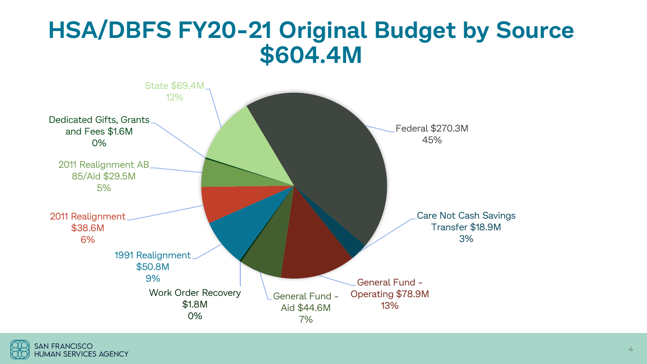### **HSA/DBFS FY20-21 Original Budget by Source \$604.4M**



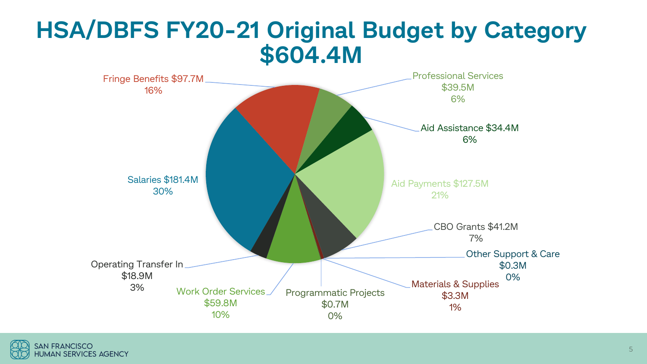### **HSA/DBFS FY20-21 Original Budget by Category \$604.4M**



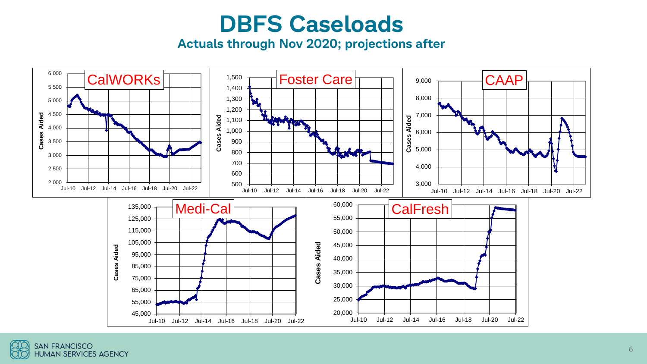### **DBFS Caseloads**

**Actuals through Nov 2020; projections after**



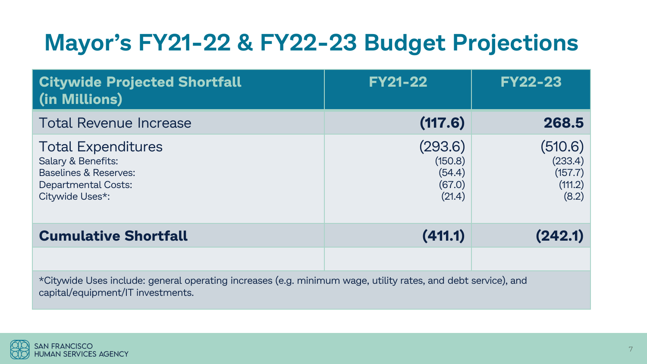# **Mayor's FY21-22 & FY22-23 Budget Projections**

| <b>Citywide Projected Shortfall</b><br>(in Millions)                                                                                               | <b>FY21-22</b>                                   | <b>FY22-23</b>                                    |
|----------------------------------------------------------------------------------------------------------------------------------------------------|--------------------------------------------------|---------------------------------------------------|
| <b>Total Revenue Increase</b>                                                                                                                      | (117.6)                                          | 268.5                                             |
| <b>Total Expenditures</b><br>Salary & Benefits:<br><b>Baselines &amp; Reserves:</b><br><b>Departmental Costs:</b><br>Citywide Uses*:               | (293.6)<br>(150.8)<br>(54.4)<br>(67.0)<br>(21.4) | (510.6)<br>(233.4)<br>(157.7)<br>(111.2)<br>(8.2) |
| <b>Cumulative Shortfall</b>                                                                                                                        | (411.1)                                          | (242.1)                                           |
|                                                                                                                                                    |                                                  |                                                   |
| *Citywide Uses include: general operating increases (e.g. minimum wage, utility rates, and debt service), and<br>capital/equipment/IT investments. |                                                  |                                                   |

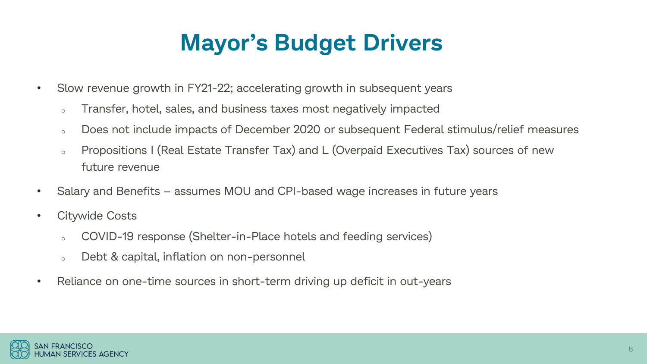## **Mayor's Budget Drivers**

- Slow revenue growth in FY21-22; accelerating growth in subsequent years
	- <sup>o</sup> Transfer, hotel, sales, and business taxes most negatively impacted
	- <sup>o</sup> Does not include impacts of December 2020 or subsequent Federal stimulus/relief measures
	- <sup>o</sup> Propositions I (Real Estate Transfer Tax) and L (Overpaid Executives Tax) sources of new future revenue
- Salary and Benefits assumes MOU and CPI-based wage increases in future years
- Citywide Costs
	- <sup>o</sup> COVID-19 response (Shelter-in-Place hotels and feeding services)
	- <sup>o</sup> Debt & capital, inflation on non-personnel
- Reliance on one-time sources in short-term driving up deficit in out-years

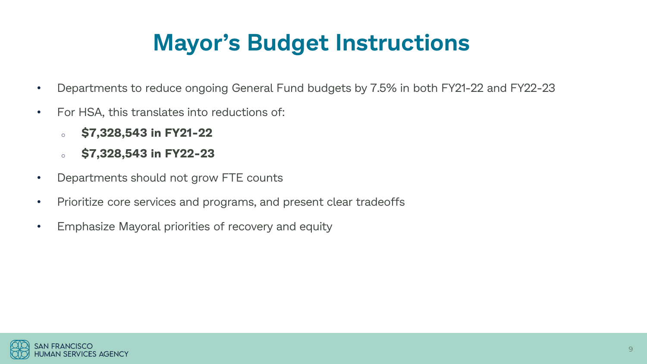## **Mayor's Budget Instructions**

- Departments to reduce ongoing General Fund budgets by 7.5% in both FY21-22 and FY22-23
- For HSA, this translates into reductions of:
	- <sup>o</sup> **\$7,328,543 in FY21-22**
	- <sup>o</sup> **\$7,328,543 in FY22-23**
- Departments should not grow FTE counts
- Prioritize core services and programs, and present clear tradeoffs
- Emphasize Mayoral priorities of recovery and equity

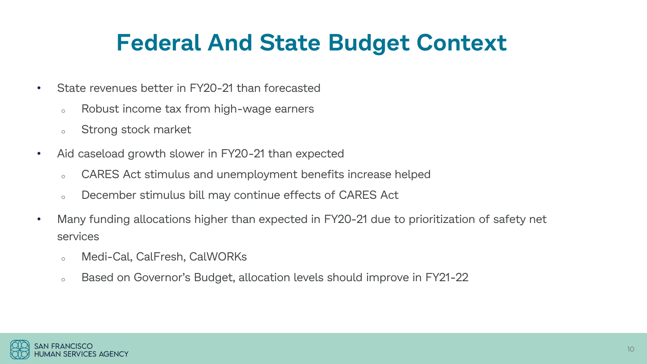### **Federal And State Budget Context**

- State revenues better in FY20-21 than forecasted
	- <sup>o</sup> Robust income tax from high-wage earners
	- <sup>o</sup> Strong stock market
- Aid caseload growth slower in FY20-21 than expected
	- <sup>o</sup> CARES Act stimulus and unemployment benefits increase helped
	- <sup>o</sup> December stimulus bill may continue effects of CARES Act
- Many funding allocations higher than expected in FY20-21 due to prioritization of safety net services
	- <sup>o</sup> Medi-Cal, CalFresh, CalWORKs
	- o Based on Governor's Budget, allocation levels should improve in FY21-22

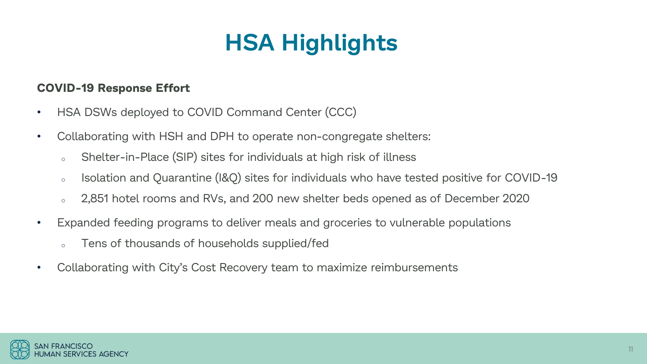# **HSA Highlights**

#### **COVID-19 Response Effort**

- HSA DSWs deployed to COVID Command Center (CCC)
- Collaborating with HSH and DPH to operate non-congregate shelters:
	- <sup>o</sup> Shelter-in-Place (SIP) sites for individuals at high risk of illness
	- <sup>o</sup> Isolation and Quarantine (I&Q) sites for individuals who have tested positive for COVID-19
	- <sup>o</sup> 2,851 hotel rooms and RVs, and 200 new shelter beds opened as of December 2020
- Expanded feeding programs to deliver meals and groceries to vulnerable populations
	- <sup>o</sup> Tens of thousands of households supplied/fed
- Collaborating with City's Cost Recovery team to maximize reimbursements

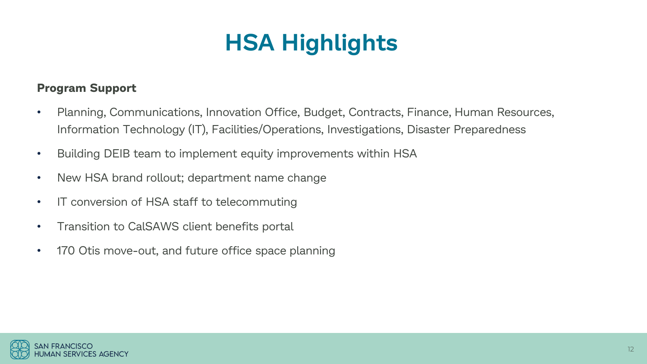## **HSA Highlights**

#### **Program Support**

- Planning, Communications, Innovation Office, Budget, Contracts, Finance, Human Resources, Information Technology (IT), Facilities/Operations, Investigations, Disaster Preparedness
- Building DEIB team to implement equity improvements within HSA
- New HSA brand rollout; department name change
- IT conversion of HSA staff to telecommuting
- Transition to CalSAWS client benefits portal
- 170 Otis move-out, and future office space planning

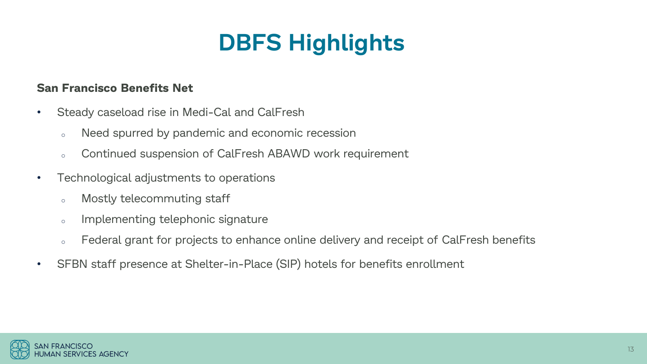#### **San Francisco Benefits Net**

- Steady caseload rise in Medi-Cal and CalFresh
	- <sup>o</sup> Need spurred by pandemic and economic recession
	- <sup>o</sup> Continued suspension of CalFresh ABAWD work requirement
- Technological adjustments to operations
	- <sup>o</sup> Mostly telecommuting staff
	- <sup>o</sup> Implementing telephonic signature
	- o Federal grant for projects to enhance online delivery and receipt of CalFresh benefits
- SFBN staff presence at Shelter-in-Place (SIP) hotels for benefits enrollment

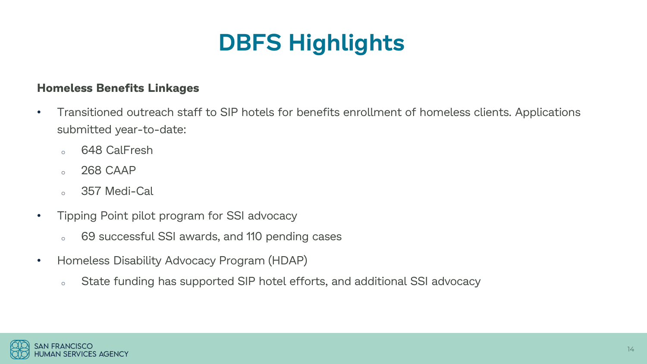#### **Homeless Benefits Linkages**

- Transitioned outreach staff to SIP hotels for benefits enrollment of homeless clients. Applications submitted year-to-date:
	- <sup>o</sup> 648 CalFresh
	- <sup>o</sup> 268 CAAP
	- <sup>o</sup> 357 Medi-Cal
- Tipping Point pilot program for SSI advocacy
	- <sup>o</sup> 69 successful SSI awards, and 110 pending cases
- Homeless Disability Advocacy Program (HDAP)
	- <sup>o</sup> State funding has supported SIP hotel efforts, and additional SSI advocacy

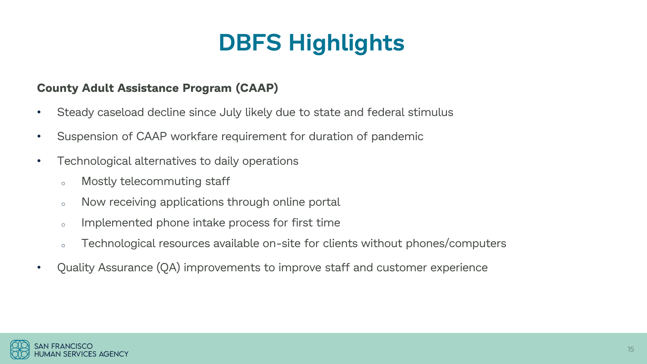#### **County Adult Assistance Program (CAAP)**

- Steady caseload decline since July likely due to state and federal stimulus
- Suspension of CAAP workfare requirement for duration of pandemic
- Technological alternatives to daily operations
	- <sup>o</sup> Mostly telecommuting staff
	- o Now receiving applications through online portal
	- o Implemented phone intake process for first time
	- o Technological resources available on-site for clients without phones/computers
- Quality Assurance (QA) improvements to improve staff and customer experience

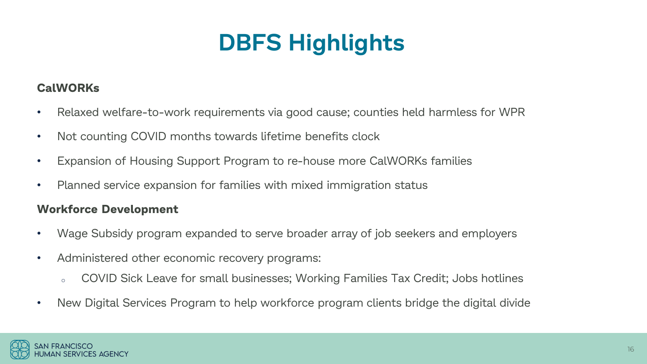#### **CalWORKs**

- Relaxed welfare-to-work requirements via good cause; counties held harmless for WPR
- Not counting COVID months towards lifetime benefits clock
- Expansion of Housing Support Program to re-house more CalWORKs families
- Planned service expansion for families with mixed immigration status

#### **Workforce Development**

- Wage Subsidy program expanded to serve broader array of job seekers and employers
- Administered other economic recovery programs:
	- <sup>o</sup> COVID Sick Leave for small businesses; Working Families Tax Credit; Jobs hotlines
- New Digital Services Program to help workforce program clients bridge the digital divide

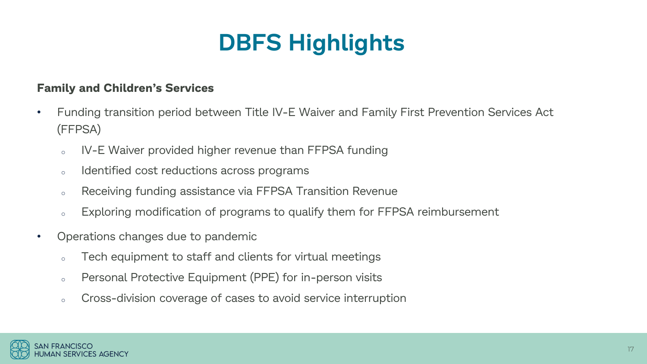#### **Family and Children's Services**

- Funding transition period between Title IV-E Waiver and Family First Prevention Services Act (FFPSA)
	- <sup>o</sup> IV-E Waiver provided higher revenue than FFPSA funding
	- o Identified cost reductions across programs
	- <sup>o</sup> Receiving funding assistance via FFPSA Transition Revenue
	- o Exploring modification of programs to qualify them for FFPSA reimbursement
- Operations changes due to pandemic
	- <sup>o</sup> Tech equipment to staff and clients for virtual meetings
	- <sup>o</sup> Personal Protective Equipment (PPE) for in-person visits
	- <sup>o</sup> Cross-division coverage of cases to avoid service interruption